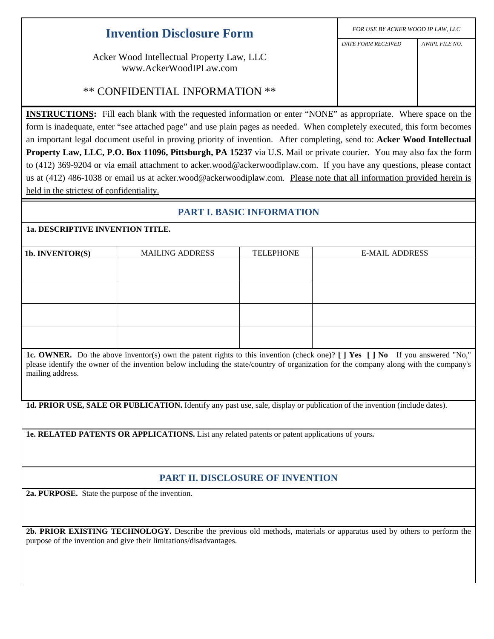| <b>Invention Disclosure Form</b>                                                                                       | FOR USE BY ACKER WOOD IP LAW, LLC |                |  |
|------------------------------------------------------------------------------------------------------------------------|-----------------------------------|----------------|--|
|                                                                                                                        | <b>DATE FORM RECEIVED</b>         | AWIPL FILE NO. |  |
| Acker Wood Intellectual Property Law, LLC<br>www.AckerWoodIPLaw.com                                                    |                                   |                |  |
| ** CONFIDENTIAL INFORMATION **                                                                                         |                                   |                |  |
| <b>INSTRUCTIONS:</b> Fill each blank with the requested information or enter "NONE" as appropriate. Where space on the |                                   |                |  |

form is inadequate, enter "see attached page" and use plain pages as needed. When completely executed, this form becomes an important legal document useful in proving priority of invention. After completing, send to: **Acker Wood Intellectual Property Law, LLC, P.O. Box 11096, Pittsburgh, PA 15237** via U.S. Mail or private courier. You may also fax the form to (412) 369-9204 or via email attachment to acker.wood@ackerwoodiplaw.com. If you have any questions, please contact us at (412) 486-1038 or email us at acker.wood@ackerwoodiplaw.com. Please note that all information provided herein is held in the strictest of confidentiality.

## **PART I. BASIC INFORMATION**

## **1a. DESCRIPTIVE INVENTION TITLE.**

| 1b. INVENTOR(S) | <b>MAILING ADDRESS</b> | <b>TELEPHONE</b> | <b>E-MAIL ADDRESS</b> |
|-----------------|------------------------|------------------|-----------------------|
|                 |                        |                  |                       |
|                 |                        |                  |                       |
|                 |                        |                  |                       |
|                 |                        |                  |                       |
|                 |                        |                  |                       |
|                 |                        |                  |                       |
|                 |                        |                  |                       |
|                 |                        |                  |                       |
|                 |                        |                  |                       |

**1c. OWNER.** Do the above inventor(s) own the patent rights to this invention (check one)? **[ ] Yes [ ] No** If you answered "No," please identify the owner of the invention below including the state/country of organization for the company along with the company's mailing address.

**1d. PRIOR USE, SALE OR PUBLICATION.** Identify any past use, sale, display or publication of the invention (include dates).

**1e. RELATED PATENTS OR APPLICATIONS.** List any related patents or patent applications of yours**.**

## **PART II. DISCLOSURE OF INVENTION**

**2a. PURPOSE.** State the purpose of the invention.

**2b. PRIOR EXISTING TECHNOLOGY.** Describe the previous old methods, materials or apparatus used by others to perform the purpose of the invention and give their limitations/disadvantages.